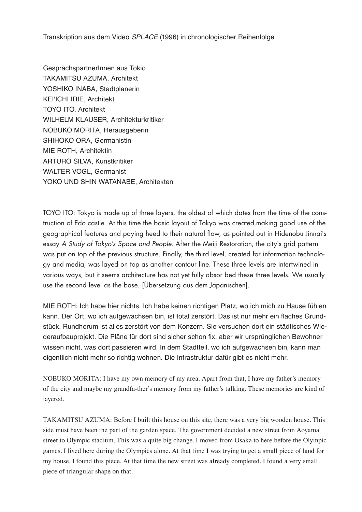GesprächspartnerInnen aus Tokio TakamitSu AZuma, Architekt YOSHIKO INABA, Stadtplanerin KEI'ICHI IRIE, Architekt TOYO ITO, Architekt WILHELM KLAUSER, Architekturkritiker NOBUKO MORITA, Herausgeberin SHIHOKO ORA, Germanistin MIE ROTH, Architektin ARTURO SILVA, Kunstkritiker WALTER VOGL, Germanist YOKO UND SHIN WATANABE, Architekten

TOYO ITO: Tokyo is made up of three layers, the oldest of which dates from the time of the construction of Edo castle. At this time the basic layout of Tokyo was created,making good use of the geographical features and paying heed to their natural flow, as pointed out in Hidenobu Jinnai's essay *A Study of Tokyo's Space and People*. After the Meiji Restoration, the city's grid pattern was put on top of the previous structure. Finally, the third level, created for information technology and media, was layed on top as another contour line. These three levels are intertwined in various ways, but it seems architecture has not yet fully absor bed these three levels. We usually use the second level as the base. [Übersetzung aus dem Japanischen].

MIE ROTH: Ich habe hier nichts. Ich habe keinen richtigen Platz, wo ich mich zu Hause fühlen kann. Der Ort, wo ich aufgewachsen bin, ist total zerstört. Das ist nur mehr ein flaches Grundstück. Rundherum ist alles zerstört von dem Konzern. Sie versuchen dort ein städtisches Wiederaufbauprojekt. Die Pläne für dort sind sicher schon fix, aber wir ursprünglichen Bewohner wissen nicht, was dort passieren wird. In dem Stadtteil, wo ich aufgewachsen bin, kann man eigentlich nicht mehr so richtig wohnen. Die Infrastruktur dafür gibt es nicht mehr.

NOBUKO MORITA: I have my own memory of my area. Apart from that, I have my father's memory of the city and maybe my grandfa-ther's memory from my father's talking. These memories are kind of layered.

TAKAMITSU AZUMA: Before I built this house on this site, there was a very big wooden house. This side must have been the part of the garden space. The government decided a new street from Aoyama street to Olympic stadium. This was a quite big change. I moved from Osaka to here before the Olympic games. I lived here during the Olympics alone. At that time I was trying to get a small piece of land for my house. I found this piece. At that time the new street was already completed. I found a very small piece of triangular shape on that.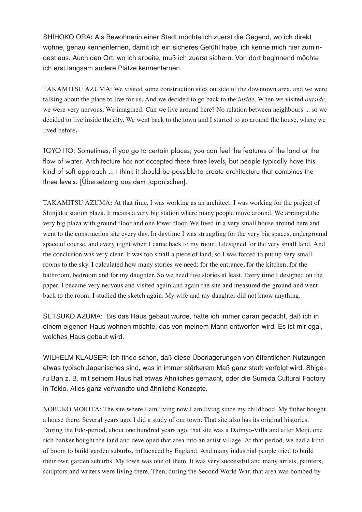SHIHOKO ORA**:** Als Bewohnerin einer Stadt möchte ich zuerst die Gegend, wo ich direkt wohne, genau kennenlernen, damit ich ein sicheres Gefühl habe, ich kenne mich hier zumindest aus. Auch den Ort, wo ich arbeite, muß ich zuerst sichern. Von dort beginnend möchte ich erst langsam andere Plätze kennenlernen.

TAKAMITSU AZUMA: We visited some construction sites outside of the downtown area, and we were talking about the place to live for us. And we decided to go back to the *inside.* When we visited *outside,*  we were very nervous. We imagined: Can we live around here? No relation between neighbours ... so we decided to live inside the city. We went back to the town and I started to go around the house, where we lived before**.**

TOYO ITO: Sometimes, if you go to certain places, you can feel the features of the land or the flow of water. Architecture has not accepted these three levels, but people typically have this kind of soft approach ... I think it should be possible to create architecture that combines the three levels. [Übersetzung aus dem Japanischen].

TAKAMITSU AZUMA**:** At that time, I was working as an architect. I was working for the project of Shinjuku station plaza. It means a very big station where many people move around. We arranged the very big plaza with ground floor and one lower floor. We lived in a very small house around here and went to the construction site every day. In daytime I was struggling for the very big spaces, underground space of course, and every night when I came back to my room, I designed for the very small land. And the conclusion was very clear. It was too small a piece of land, so I was forced to put up very small rooms to the sky. I calculated how many stories we need: for the entrance, for the kitchen, for the bathroom, bedroom and for my daughter. So we need five stories at least. Every time I designed on the paper, I became very nervous and visited again and again the site and measured the ground and went back to the room. I studied the sketch again. My wife and my daughter did not know anything.

SETSUKO AZUMA: Bis das Haus gebaut wurde, hatte ich immer daran gedacht, daß ich in einem eigenen Haus wohnen möchte, das von meinem Mann entworfen wird. Es ist mir egal, welches Haus gebaut wird.

WILHELM KLAUSER: Ich finde schon, daß diese Überlagerungen von öffentlichen Nutzungen etwas typisch Japanisches sind, was in immer stärkerem Maß ganz stark verfolgt wird. Shigeru Ban z. B. mit seinem Haus hat etwas Ähnliches gemacht, oder die Sumida Cultural Factory in Tokio. Alles ganz verwandte und ähnliche Konzepte.

NOBUKO MORITA: The site where I am living now I am living since my childhood. My father bought a house there. Several years ago, I did a study of our town. That site also has its original histories. During the Edo-period, about one hundred years ago, that site was a Daimyo-Villa and after Meiji, one rich banker bought the land and developed that area into an artist-village. At that period, we had a kind of boom to build garden suburbs, influenced by England. And many industrial people tried to build their own garden suburbs. My town was one of them. It was very successful and many artists, painters, sculptors and writers were living there. Then, during the Second World War, that area was bombed by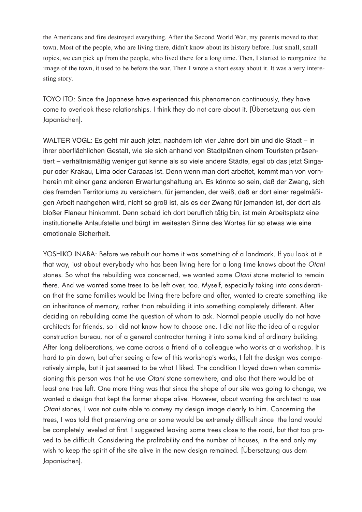the Americans and fire destroyed everything. After the Second World War, my parents moved to that town. Most of the people, who are living there, didn't know about its history before. Just small, small topics, we can pick up from the people, who lived there for a long time. Then, I started to reorganize the image of the town, it used to be before the war. Then I wrote a short essay about it. It was a very interesting story.

TOYO ITO: Since the Japanese have experienced this phenomenon continuously, they have come to overlook these relationships. I think they do not care about it. [Übersetzung aus dem Japanischen].

WALTER VOGL: Es geht mir auch jetzt, nachdem ich vier Jahre dort bin und die Stadt – in ihrer oberflächlichen Gestalt, wie sie sich anhand von Stadtplänen einem Touristen präsentiert – verhältnismäßig weniger gut kenne als so viele andere Städte, egal ob das jetzt Singapur oder Krakau, Lima oder Caracas ist. Denn wenn man dort arbeitet, kommt man von vornherein mit einer ganz anderen Erwartungshaltung an. Es könnte so sein, daß der Zwang, sich des fremden Territoriums zu versichern, für jemanden, der weiß, daß er dort einer regelmäßigen Arbeit nachgehen wird, nicht so groß ist, als es der Zwang für jemanden ist, der dort als bloßer Flaneur hinkommt. Denn sobald ich dort beruflich tätig bin, ist mein Arbeitsplatz eine institutionelle Anlaufstelle und bürgt im weitesten Sinne des Wortes für so etwas wie eine emotionale Sicherheit.

YOSHIKO INABA: Before we rebuilt our home it was something of a landmark. If you look at it that way, just about everybody who has been living here for a long time knows about the *Otani* stones. So what the rebuilding was concerned, we wanted some *Otani* stone material to remain there. And we wanted some trees to be left over, too. Myself, especially taking into consideration that the same families would be living there before and after, wanted to create something like an inheritance of memory, rather than rebuilding it into something completely different. After deciding on rebuilding came the question of whom to ask. Normal people usually do not have architects for friends, so I did not know how to choose one. I did not like the idea of a regular construction bureau, nor of a general contractor turning it into some kind of ordinary building. After long deliberations, we came across a friend of a colleague who works at a workshop. It is hard to pin down, but after seeing a few of this workshop's works, I felt the design was comparatively simple, but it just seemed to be what I liked. The condition I layed down when commissioning this person was that he use *Otani* stone somewhere, and also that there would be at least one tree left. One more thing was that since the shape of our site was going to change, we wanted a design that kept the former shape alive. However, about wanting the architect to use *Otani* stones, I was not quite able to convey my design image clearly to him. Concerning the trees, I was told that preserving one or some would be extremely difficult since the land would be completely leveled at first. I suggested leaving some trees close to the road, but that too proved to be difficult. Considering the profitability and the number of houses, in the end only my wish to keep the spirit of the site alive in the new design remained. [Übersetzung aus dem Japanischen].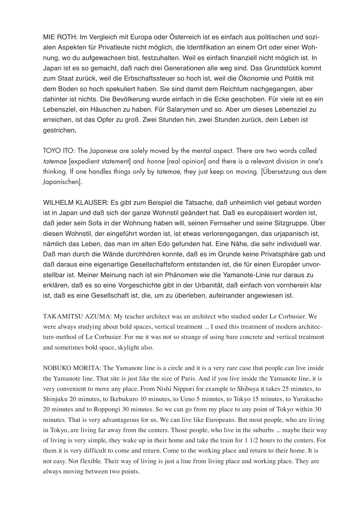MIE ROTH: Im Vergleich mit Europa oder Österreich ist es einfach aus politischen und sozialen Aspekten für Privatleute nicht möglich, die Identifikation an einem Ort oder einer Wohnung, wo du aufgewachsen bist, festzuhalten. Weil es einfach finanziell nicht möglich ist. In Japan ist es so gemacht, daß nach drei Generationen alle weg sind. Das Grundstück kommt zum Staat zurück, weil die Erbschaftssteuer so hoch ist, weil die Ökonomie und Politik mit dem Boden so hoch spekuliert haben. Sie sind damit dem Reichtum nachgegangen, aber dahinter ist nichts. Die Bevölkerung wurde einfach in die Ecke geschoben. Für viele ist es ein Lebensziel, ein Häuschen zu haben. Für Salarymen und so. Aber um dieses Lebensziel zu erreichen, ist das Opfer zu groß. Zwei Stunden hin, zwei Stunden zurück, dein Leben ist gestrichen**.**

TOYO ITO: The Japanese are solely moved by the mental aspect. There are two words called *tatemae* [expedient statement] and *honne* [real opinion] and there is a relevant division in one's thinking. If one handles things only by *tatemae*, they just keep on moving. [Übersetzung aus dem Japanischen].

WILHELM KLAUSER: Es gibt zum Beispiel die Tatsache, daß unheimlich viel gebaut worden ist in Japan und daß sich der ganze Wohnstil geändert hat. Daß es europäisiert worden ist, daß jeder sein Sofa in der Wohnung haben will, seinen Fernseher und seine Sitzgruppe. Über diesen Wohnstil, der eingeführt worden ist, ist etwas verlorengegangen, das urjapanisch ist, nämlich das Leben, das man im alten Edo gefunden hat. Eine Nähe, die sehr individuell war. Daß man durch die Wände durchhören konnte, daß es im Grunde keine Privatsphäre gab und daß daraus eine eigenartige Gesellschaftsform entstanden ist, die für einen Europäer unvorstellbar ist. Meiner Meinung nach ist ein Phänomen wie die Yamanote-Linie nur daraus zu erklären, daß es so eine Vorgeschichte gibt in der Urbanität, daß einfach von vornherein klar ist, daß es eine Gesellschaft ist, die, um zu überleben, aufeinander angewiesen ist.

TAKAMITSU AZUMA: My teacher architect was an architect who studied under Le Corbusier. We were always studying about bold spaces, vertical treatment ... I used this treatment of modern architecture-method of Le Corbusier. For me it was not so strange of using bare concrete and vertical treatment and sometimes bold space, skylight also.

NOBUKO MORITA: The Yamanote line is a circle and it is a very rare case that people can live inside the Yamanote line. That site is just like the size of Paris. And if you live inside the Yamanote line, it is very convenient to move any place. From Nishi Nippori for example to Shibuya it takes 25 minutes, to Shinjuku 20 minutes, to Ikebukuro 10 minutes, to Ueno 5 minutes, to Tokyo 15 minutes, to Yurakucho 20 minutes and to Roppongi 30 minutes. So we can go from my place to any point of Tokyo within 30 minutes. That is very advantageous for us. We can live like Europeans. But most people, who are living in Tokyo, are living far away from the centers. Those people, who live in the suburbs ... maybe their way of living is very simple, they wake up in their home and take the train for 1 1/2 hours to the centers. For them it is very difficult to come and return. Come to the working place and return to their home. It is not easy. Not flexible. Their way of living is just a line from living place and working place. They are always moving between two points.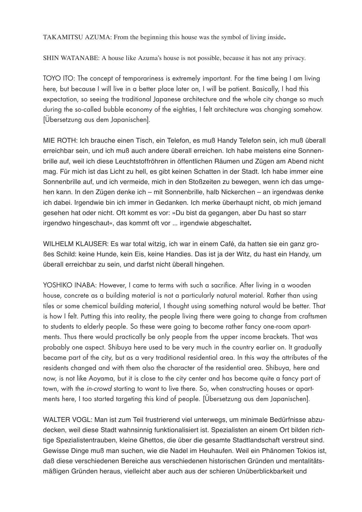TAKAMITSU AZUMA: From the beginning this house was the symbol of living inside**.**

SHIN WATANABE: A house like Azuma's house is not possible, because it has not any privacy.

TOYO ITO: The concept of temporariness is extremely important. For the time being I am living here, but because I will live in a better place later on, I will be patient. Basically, I had this expectation, so seeing the traditional Japanese architecture and the whole city change so much during the so-called bubble economy of the eighties, I felt architecture was changing somehow. [Übersetzung aus dem Japanischen].

MIE ROTH: Ich brauche einen Tisch, ein Telefon, es muß Handy Telefon sein, ich muß überall erreichbar sein, und ich muß auch andere überall erreichen. Ich habe meistens eine Sonnenbrille auf, weil ich diese Leuchtstoffröhren in öffentlichen Räumen und Zügen am Abend nicht mag. Für mich ist das Licht zu hell, es gibt keinen Schatten in der Stadt. Ich habe immer eine Sonnenbrille auf, und ich vermeide, mich in den Stoßzeiten zu bewegen, wenn ich das umgehen kann. In den Zügen denke ich – mit Sonnenbrille, halb Nickerchen – an irgendwas denke ich dabei. Irgendwie bin ich immer in Gedanken. Ich merke überhaupt nicht, ob mich jemand gesehen hat oder nicht. Oft kommt es vor: »Du bist da gegangen, aber Du hast so starr irgendwo hingeschaut«, das kommt oft vor ... irgendwie abgeschaltet**.**

WILHELM KLAUSER: Es war total witzig, ich war in einem Café, da hatten sie ein ganz großes Schild: keine Hunde, kein Eis, keine Handies. Das ist ja der Witz, du hast ein Handy, um überall erreichbar zu sein, und darfst nicht überall hingehen.

YOSHIKO INABA: However, I came to terms with such a sacrifice. After living in a wooden house, concrete as a building material is not a particularly natural material. Rather than using tiles or some chemical building material, I thought using something natural would be better. That is how I felt. Putting this into reality, the people living there were going to change from craftsmen to students to elderly people. So these were going to become rather fancy one-room apartments. Thus there would practically be only people from the upper income brackets. That was probably one aspect. Shibuya here used to be very much in the country earlier on. It gradually became part of the city, but as a very traditional residential area. In this way the attributes of the residents changed and with them also the character of the residential area. Shibuya, here and now, is not like Aoyama, but it is close to the city center and has become quite a fancy part of town, with the *in-crowd* starting to want to live there. So, when constructing houses or apartments here, I too started targeting this kind of people. [Übersetzung aus dem Japanischen].

WALTER VOGL: Man ist zum Teil frustrierend viel unterwegs, um minimale Bedürfnisse abzudecken, weil diese Stadt wahnsinnig funktionalisiert ist. Spezialisten an einem Ort bilden richtige Spezialistentrauben, kleine Ghettos, die über die gesamte Stadtlandschaft verstreut sind. Gewisse Dinge muß man suchen, wie die Nadel im Heuhaufen. Weil ein Phänomen Tokios ist, daß diese verschiedenen Bereiche aus verschiedenen historischen Gründen und mentalitätsmäßigen Gründen heraus, vielleicht aber auch aus der schieren Unüberblickbarkeit und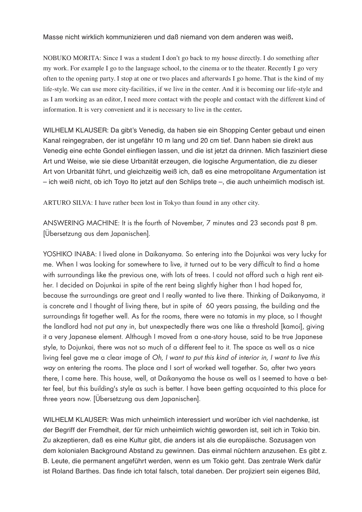Masse nicht wirklich kommunizieren und daß niemand von dem anderen was weiß**.**

NOBUKO MORITA: Since I was a student I don't go back to my house directly. I do something after my work. For example I go to the language school, to the cinema or to the theater. Recently I go very often to the opening party. I stop at one or two places and afterwards I go home. That is the kind of my life-style. We can use more city-facilities, if we live in the center. And it is becoming our life-style and as I am working as an editor, I need more contact with the people and contact with the different kind of information. It is very convenient and it is necessary to live in the center**.**

WILHELM KLAUSER: Da gibt's Venedig, da haben sie ein Shopping Center gebaut und einen Kanal reingegraben, der ist ungefähr 10 m lang und 20 cm tief. Dann haben sie direkt aus Venedig eine echte Gondel einfliegen lassen, und die ist jetzt da drinnen. Mich fasziniert diese Art und Weise, wie sie diese Urbanität erzeugen, die logische Argumentation, die zu dieser Art von Urbanität führt, und gleichzeitig weiß ich, daß es eine metropolitane Argumentation ist – ich weiß nicht, ob ich Toyo Ito jetzt auf den Schlips trete –, die auch unheimlich modisch ist.

ARTURO SILVA: I have rather been lost in Tokyo than found in any other city.

ANSWERING MACHINE: It is the fourth of November, 7 minutes and 23 seconds past 8 pm. [Übersetzung aus dem Japanischen].

YOSHIKO INABA: I lived alone in Daikanyama. So entering into the Dojunkai was very lucky for me. When I was looking for somewhere to live, it turned out to be very difficult to find a home with surroundings like the previous one, with lots of trees. I could not afford such a high rent either. I decided on Dojunkai in spite of the rent being slightly higher than I had hoped for, because the surroundings are great and I really wanted to live there. Thinking of Daikanyama, it is concrete and I thought of living there, but in spite of 60 years passing, the building and the surroundings fit together well. As for the rooms, there were no tatamis in my place, so I thought the landlord had not put any in, but unexpectedly there was one like a threshold [kamoi], giving it a very Japanese element. Although I moved from a one-story house, said to be true Japanese style, to Dojunkai, there was not so much of a different feel to it. The space as well as a nice living feel gave me a clear image of *Oh, I want to put this kind of interior in, I want to live this way* on entering the rooms. The place and I sort of worked well together. So, after two years there, I came here. This house, well, at Daikanyama the house as well as I seemed to have a better feel, but this building's style as such is better. I have been getting acquainted to this place for three years now. [Übersetzung aus dem Japanischen].

WILHELM KLAUSER: Was mich unheimlich interessiert und worüber ich viel nachdenke, ist der Begriff der Fremdheit, der für mich unheimlich wichtig geworden ist, seit ich in Tokio bin. Zu akzeptieren, daß es eine Kultur gibt, die anders ist als die europäische. Sozusagen von dem kolonialen Background Abstand zu gewinnen. Das einmal nüchtern anzusehen. Es gibt z. B. Leute, die permanent angeführt werden, wenn es um Tokio geht. Das zentrale Werk dafür ist Roland Barthes. Das finde ich total falsch, total daneben. Der projiziert sein eigenes Bild,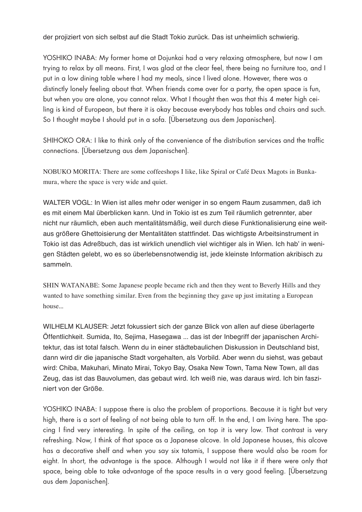der projiziert von sich selbst auf die Stadt Tokio zurück. Das ist unheimlich schwierig.

YOSHIKO INABA: My former home at Dojunkai had a very relaxing atmosphere, but now I am trying to relax by all means. First, I was glad at the clear feel, there being no furniture too, and I put in a low dining table where I had my meals, since I lived alone. However, there was a distinctly lonely feeling about that. When friends come over for a party, the open space is fun, but when you are alone, you cannot relax. What I thought then was that this 4 meter high ceiling is kind of European, but there it is okay because everybody has tables and chairs and such. So I thought maybe I should put in a sofa. [Übersetzung aus dem Japanischen].

SHIHOKO ORA: I like to think only of the convenience of the distribution services and the traffic connections. [Übersetzung aus dem Japanischen].

NOBUKO MORITA: There are some coffeeshops I like, like Spiral or Café Deux Magots in Bunkamura, where the space is very wide and quiet.

WALTER VOGL: In Wien ist alles mehr oder weniger in so engem Raum zusammen, daß ich es mit einem Mal überblicken kann. Und in Tokio ist es zum Teil räumlich getrennter, aber nicht nur räumlich, eben auch mentalitätsmäßig, weil durch diese Funktionalisierung eine weitaus größere Ghettoisierung der Mentalitäten stattfindet. Das wichtigste Arbeitsinstrument in Tokio ist das Adreßbuch, das ist wirklich unendlich viel wichtiger als in Wien. Ich hab' in wenigen Städten gelebt, wo es so überlebensnotwendig ist, jede kleinste Information akribisch zu sammeln.

SHIN WATANABE: Some Japanese people became rich and then they went to Beverly Hills and they wanted to have something similar. Even from the beginning they gave up just imitating a European house...

WILHELM KLAUSER: Jetzt fokussiert sich der ganze Blick von allen auf diese überlagerte Öffentlichkeit. Sumida, Ito, Sejima, Hasegawa ... das ist der Inbegriff der japanischen Architektur, das ist total falsch. Wenn du in einer städtebaulichen Diskussion in Deutschland bist, dann wird dir die japanische Stadt vorgehalten, als Vorbild. Aber wenn du siehst, was gebaut wird: Chiba, Makuhari, Minato Mirai, Tokyo Bay, Osaka New Town, Tama New Town, all das Zeug, das ist das Bauvolumen, das gebaut wird. Ich weiß nie, was daraus wird. Ich bin fasziniert von der Größe.

YOSHIKO INABA: I suppose there is also the problem of proportions. Because it is tight but very high, there is a sort of feeling of not being able to turn off. In the end, I am living here. The spacing I find very interesting. In spite of the ceiling, on top it is very low. That contrast is very refreshing. Now, I think of that space as a Japanese alcove. In old Japanese houses, this alcove has a decorative shelf and when you say six tatamis, I suppose there would also be room for eight. In short, the advantage is the space. Although I would not like it if there were only that space, being able to take advantage of the space results in a very good feeling. [Übersetzung aus dem Japanischen].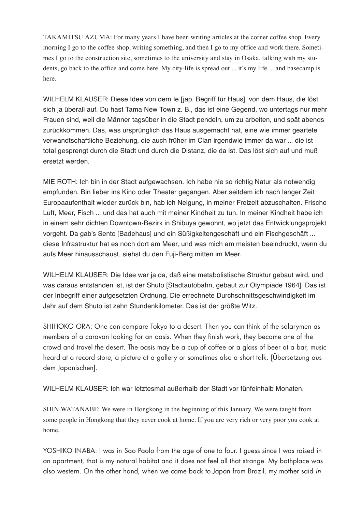TAKAMITSU AZUMA: For many years I have been writing articles at the corner coffee shop. Every morning I go to the coffee shop, writing something, and then I go to my office and work there. Sometimes I go to the construction site, sometimes to the university and stay in Osaka, talking with my students, go back to the office and come here. My city-life is spread out ... it's my life ... and basecamp is here.

WILHELM KLAUSER: Diese Idee von dem Ie [jap. Begriff für Haus], von dem Haus, die löst sich ja überall auf. Du hast Tama New Town z. B., das ist eine Gegend, wo untertags nur mehr Frauen sind, weil die Männer tagsüber in die Stadt pendeln, um zu arbeiten, und spät abends zurückkommen. Das, was ursprünglich das Haus ausgemacht hat, eine wie immer geartete verwandtschaftliche Beziehung, die auch früher im Clan irgendwie immer da war ... die ist total gesprengt durch die Stadt und durch die Distanz, die da ist. Das löst sich auf und muß ersetzt werden.

MIE ROTH: Ich bin in der Stadt aufgewachsen. Ich habe nie so richtig Natur als notwendig empfunden. Bin lieber ins Kino oder Theater gegangen. Aber seitdem ich nach langer Zeit Europaaufenthalt wieder zurück bin, hab ich Neigung, in meiner Freizeit abzuschalten. Frische Luft, Meer, Fisch ... und das hat auch mit meiner Kindheit zu tun. In meiner Kindheit habe ich in einem sehr dichten Downtown-Bezirk in Shibuya gewohnt, wo jetzt das Entwicklungsprojekt vorgeht. Da gab's Sento [Badehaus] und ein Süßigkeitengeschäft und ein Fischgeschäft ... diese Infrastruktur hat es noch dort am Meer, und was mich am meisten beeindruckt, wenn du aufs Meer hinausschaust, siehst du den Fuji-Berg mitten im Meer.

WILHELM KLAUSER: Die Idee war ja da, daß eine metabolistische Struktur gebaut wird, und was daraus entstanden ist, ist der Shuto [Stadtautobahn, gebaut zur Olympiade 1964]. Das ist der Inbegriff einer aufgesetzten Ordnung. Die errechnete Durchschnittsgeschwindigkeit im Jahr auf dem Shuto ist zehn Stundenkilometer. Das ist der größte Witz.

SHIHOKO ORA: One can compare Tokyo to a desert. Then you can think of the salarymen as members of a caravan looking for an oasis. When they finish work, they become one of the crowd and travel the desert. The oasis may be a cup of coffee or a glass of beer at a bar, music heard at a record store, a picture at a gallery or sometimes also a short talk. [Übersetzung aus dem Japanischen].

WILHELM KLAUSER: Ich war letztesmal außerhalb der Stadt vor fünfeinhalb Monaten.

SHIN WATANABE: We were in Hongkong in the beginning of this January. We were taught from some people in Hongkong that they never cook at home. If you are very rich or very poor you cook at home.

YOSHIKO INABA: I was in Sao Paolo from the age of one to four. I guess since I was raised in an apartment, that is my natural habitat and it does not feel all that strange. My bathplace was also western. On the other hand, when we came back to Japan from Brazil, my mother said *In*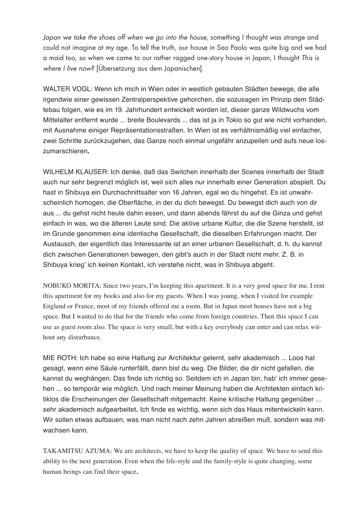*Japan we take the shoes off when we go into the house*, something I thought was strange and could not imagine at my age. To tell the truth, our house in Sao Paolo was quite big and we had a maid too, so when we came to our rather ragged one-story house in Japan, I thought *This is where I live now?* [Übersetzung aus dem Japanischen].

WALTER VOGL: Wenn ich mich in Wien oder in westlich gebauten Städten bewege, die alle irgendwie einer gewissen Zentralperspektive gehorchen, die sozusagen im Prinzip dem Städtebau folgen, wie es im 19. Jahrhundert entwickelt worden ist, dieser ganze Wildwuchs vom Mittelalter entfernt wurde ... breite Boulevards ... das ist ja in Tokio so gut wie nicht vorhanden, mit Ausnahme einiger Repräsentationsstraßen. In Wien ist es verhältnismäßig viel einfacher, zwei Schritte zurückzugehen, das Ganze noch einmal ungefähr anzupeilen und aufs neue loszumarschieren**.**

WILHELM KLAUSER: Ich denke, daß das Switchen innerhalb der Scenes innerhalb der Stadt auch nur sehr begrenzt möglich ist, weil sich alles nur innerhalb einer Generation abspielt. Du hast in Shibuya ein Durchschnittsalter von 16 Jahren, egal wo du hingehst. Es ist unwahrscheinlich homogen, die Oberfläche, in der du dich bewegst. Du bewegst dich auch von dir aus ... du gehst nicht heute dahin essen, und dann abends fährst du auf die Ginza und gehst einfach in was, wo die älteren Leute sind. Die aktive urbane Kultur, die die Szene herstellt, ist im Grunde genommen eine identische Gesellschaft, die dieselben Erfahrungen macht. Der Austausch, der eigentlich das Interessante ist an einer urbanen Gesellschaft, d. h. du kannst dich zwischen Generationen bewegen, den gibt's auch in der Stadt nicht mehr. Z. B. in Shibuya krieg' ich keinen Kontakt, ich verstehe nicht, was in Shibuya abgeht.

NOBUKO MORITA: Since two years, I'm keeping this apartment. It is a very good space for me. I rent this apartment for my books and also for my guests. When I was young, when I visited for example England or France, most of my friends offered me a room. But in Japan most houses have not a big space. But I wanted to do that for the friends who come from foreign countries. Then this space I can use as guest room also. The space is very small, but with a key everybody can enter and can relax without any disturbance.

MIE ROTH: Ich habe so eine Haltung zur Architektur gelernt, sehr akademisch ... Loos hat gesagt, wenn eine Säule runterfällt, dann bist du weg. Die Bilder, die dir nicht gefallen, die kannst du weghängen. Das finde ich richtig so. Seitdem ich in Japan bin, hab' ich immer gesehen ... so temporär wie möglich. Und nach meiner Meinung haben die Architekten einfach kritiklos die Erscheinungen der Gesellschaft mitgemacht. Keine kritische Haltung gegenüber ... sehr akademisch aufgearbeitet**.** Ich finde es wichtig, wenn sich das Haus mitentwickeln kann. Wir sollen etwas aufbauen, was man nicht nach zehn Jahren abreißen muß, sondern was mitwachsen kann.

TAKAMITSU AZUMA: We are architects, we have to keep the quality of space. We have to send this ability to the next generation. Even when the life-style and the family-style is quite changing, some human beings can find their space**.**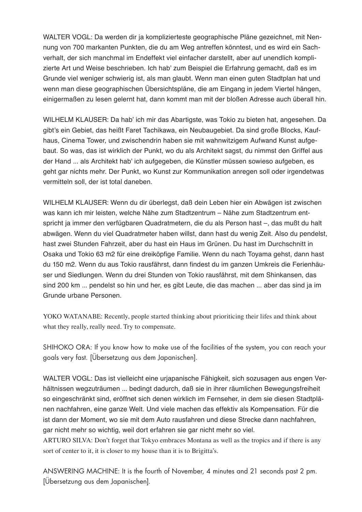WALTER VOGL: Da werden dir ja komplizierteste geographische Pläne gezeichnet, mit Nennung von 700 markanten Punkten, die du am Weg antreffen könntest, und es wird ein Sachverhalt, der sich manchmal im Endeffekt viel einfacher darstellt, aber auf unendlich komplizierte Art und Weise beschrieben. Ich hab' zum Beispiel die Erfahrung gemacht, daß es im Grunde viel weniger schwierig ist, als man glaubt. Wenn man einen guten Stadtplan hat und wenn man diese geographischen Übersichtspläne, die am Eingang in jedem Viertel hängen, einigermaßen zu lesen gelernt hat, dann kommt man mit der bloßen Adresse auch überall hin.

WILHELM KLAUSER: Da hab' ich mir das Abartigste, was Tokio zu bieten hat, angesehen. Da gibt's ein Gebiet, das heißt Faret Tachikawa, ein Neubaugebiet. Da sind große Blocks, Kaufhaus, Cinema Tower, und zwischendrin haben sie mit wahnwitzigem Aufwand Kunst aufgebaut. So was, das ist wirklich der Punkt, wo du als Architekt sagst, du nimmst den Griffel aus der Hand ... als Architekt hab' ich aufgegeben, die Künstler müssen sowieso aufgeben, es geht gar nichts mehr. Der Punkt, wo Kunst zur Kommunikation anregen soll oder irgendetwas vermitteln soll, der ist total daneben.

WILHELM KLAUSER: Wenn du dir überlegst, daß dein Leben hier ein Abwägen ist zwischen was kann ich mir leisten, welche Nähe zum Stadtzentrum – Nähe zum Stadtzentrum entspricht ja immer den verfügbaren Quadratmetern, die du als Person hast –, das mußt du halt abwägen. Wenn du viel Quadratmeter haben willst, dann hast du wenig Zeit. Also du pendelst, hast zwei Stunden Fahrzeit, aber du hast ein Haus im Grünen. Du hast im Durchschnitt in Osaka und Tokio 63 m2 für eine dreiköpfige Familie. Wenn du nach Toyama gehst, dann hast du 150 m2. Wenn du aus Tokio rausfährst, dann findest du im ganzen Umkreis die Ferienhäuser und Siedlungen. Wenn du drei Stunden von Tokio rausfährst, mit dem Shinkansen, das sind 200 km ... pendelst so hin und her, es gibt Leute, die das machen ... aber das sind ja im Grunde urbane Personen.

YOKO WATANABE: Recently, people started thinking about prioriticing their lifes and think about what they really, really need. Try to compensate.

SHIHOKO ORA: If you know how to make use of the facilities of the system, you can reach your goals very fast. [Übersetzung aus dem Japanischen].

WALTER VOGL: Das ist vielleicht eine urjapanische Fähigkeit, sich sozusagen aus engen Verhältnissen wegzuträumen ... bedingt dadurch, daß sie in ihrer räumlichen Bewegungsfreiheit so eingeschränkt sind, eröffnet sich denen wirklich im Fernseher, in dem sie diesen Stadtplänen nachfahren, eine ganze Welt. Und viele machen das effektiv als Kompensation. Für die ist dann der Moment, wo sie mit dem Auto rausfahren und diese Strecke dann nachfahren, gar nicht mehr so wichtig, weil dort erfahren sie gar nicht mehr so viel.

ARTURO SILVA: Don't forget that Tokyo embraces Montana as well as the tropics and if there is any sort of center to it, it is closer to my house than it is to Brigitta's.

ANSWERING MACHINE: It is the fourth of November, 4 minutes and 21 seconds past 2 pm. [Übersetzung aus dem Japanischen].